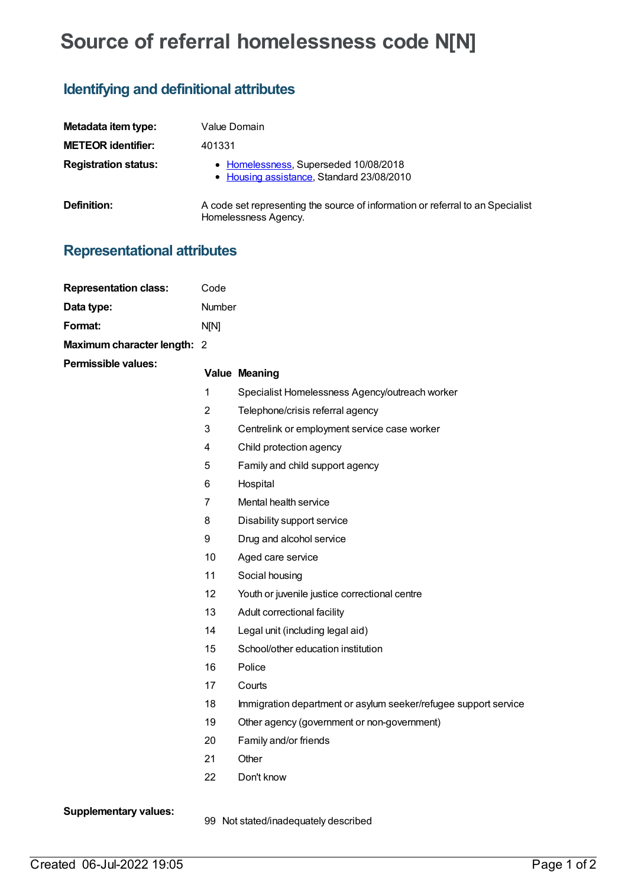## **Source of referral homelessness code N[N]**

## **Identifying and definitional attributes**

| Metadata item type:         | Value Domain                                                                                           |  |  |
|-----------------------------|--------------------------------------------------------------------------------------------------------|--|--|
| <b>METEOR identifier:</b>   | 401331                                                                                                 |  |  |
| <b>Registration status:</b> | • Homelessness, Superseded 10/08/2018<br>• Housing assistance, Standard 23/08/2010                     |  |  |
| <b>Definition:</b>          | A code set representing the source of information or referral to an Specialist<br>Homelessness Agency. |  |  |

## **Representational attributes**

| <b>Representation class:</b> | Code             |                                                                 |  |
|------------------------------|------------------|-----------------------------------------------------------------|--|
| Data type:                   | Number           |                                                                 |  |
| Format:                      | N[N]             |                                                                 |  |
| Maximum character length: 2  |                  |                                                                 |  |
| <b>Permissible values:</b>   |                  | <b>Value Meaning</b>                                            |  |
|                              | 1                | Specialist Homelessness Agency/outreach worker                  |  |
|                              | $\overline{2}$   | Telephone/crisis referral agency                                |  |
|                              | 3                | Centrelink or employment service case worker                    |  |
|                              | 4                | Child protection agency                                         |  |
|                              | 5                | Family and child support agency                                 |  |
|                              | 6                | Hospital                                                        |  |
|                              | $\overline{7}$   | Mental health service                                           |  |
|                              | 8                | Disability support service                                      |  |
|                              | $\boldsymbol{9}$ | Drug and alcohol service                                        |  |
|                              | 10               | Aged care service                                               |  |
|                              | 11               | Social housing                                                  |  |
|                              | 12               | Youth or juvenile justice correctional centre                   |  |
|                              | 13               | Adult correctional facility                                     |  |
|                              | 14               | Legal unit (including legal aid)                                |  |
|                              | 15               | School/other education institution                              |  |
|                              | 16               | Police                                                          |  |
|                              | 17               | Courts                                                          |  |
|                              | 18               | Immigration department or asylum seeker/refugee support service |  |
|                              | 19               | Other agency (government or non-government)                     |  |
|                              | 20               | Family and/or friends                                           |  |
|                              | 21               | Other                                                           |  |
|                              | 22               | Don't know                                                      |  |
| <b>Supplementary values:</b> |                  |                                                                 |  |

99 Not stated/inadequately described